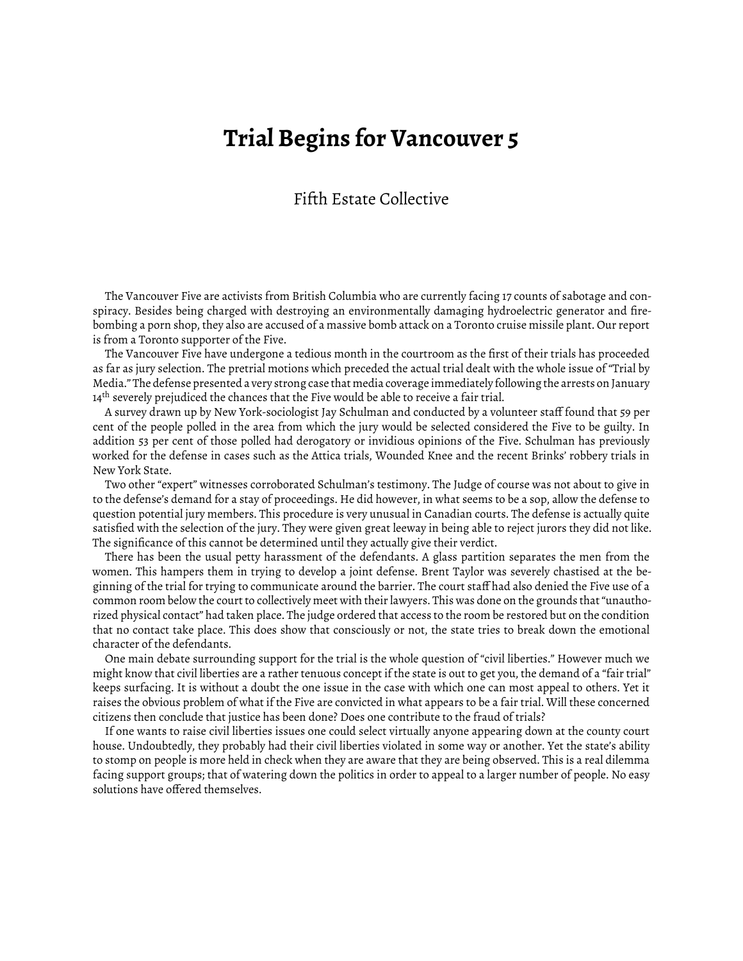## **Trial Begins for Vancouver 5**

## Fifth Estate Collective

The Vancouver Five are activists from British Columbia who are currently facing 17 counts of sabotage and conspiracy. Besides being charged with destroying an environmentally damaging hydroelectric generator and firebombing a porn shop, they also are accused of a massive bomb attack on a Toronto cruise missile plant. Our report is from a Toronto supporter of the Five.

The Vancouver Five have undergone a tedious month in the courtroom as the first of their trials has proceeded as far as jury selection. The pretrial motions which preceded the actual trial dealt with the whole issue of "Trial by Media." The defense presented a very strong case that media coverage immediately following the arrests on January 14<sup>th</sup> severely prejudiced the chances that the Five would be able to receive a fair trial.

A survey drawn up by New York-sociologist Jay Schulman and conducted by a volunteer staff found that 59 per cent of the people polled in the area from which the jury would be selected considered the Five to be guilty. In addition 53 per cent of those polled had derogatory or invidious opinions of the Five. Schulman has previously worked for the defense in cases such as the Attica trials, Wounded Knee and the recent Brinks' robbery trials in New York State.

Two other "expert" witnesses corroborated Schulman's testimony. The Judge of course was not about to give in to the defense's demand for a stay of proceedings. He did however, in what seems to be a sop, allow the defense to question potential jury members. This procedure is very unusual in Canadian courts. The defense is actually quite satisfied with the selection of the jury. They were given great leeway in being able to reject jurors they did not like. The significance of this cannot be determined until they actually give their verdict.

There has been the usual petty harassment of the defendants. A glass partition separates the men from the women. This hampers them in trying to develop a joint defense. Brent Taylor was severely chastised at the beginning of the trial for trying to communicate around the barrier. The court staff had also denied the Five use of a common room below the court to collectively meet with their lawyers. This was done on the grounds that "unauthorized physical contact" had taken place. The judge ordered that access to the room be restored but on the condition that no contact take place. This does show that consciously or not, the state tries to break down the emotional character of the defendants.

One main debate surrounding support for the trial is the whole question of "civil liberties." However much we might know that civil liberties are a rather tenuous concept if the state is out to get you, the demand of a "fair trial" keeps surfacing. It is without a doubt the one issue in the case with which one can most appeal to others. Yet it raises the obvious problem of what if the Five are convicted in what appears to be a fair trial. Will these concerned citizens then conclude that justice has been done? Does one contribute to the fraud of trials?

If one wants to raise civil liberties issues one could select virtually anyone appearing down at the county court house. Undoubtedly, they probably had their civil liberties violated in some way or another. Yet the state's ability to stomp on people is more held in check when they are aware that they are being observed. This is a real dilemma facing support groups; that of watering down the politics in order to appeal to a larger number of people. No easy solutions have offered themselves.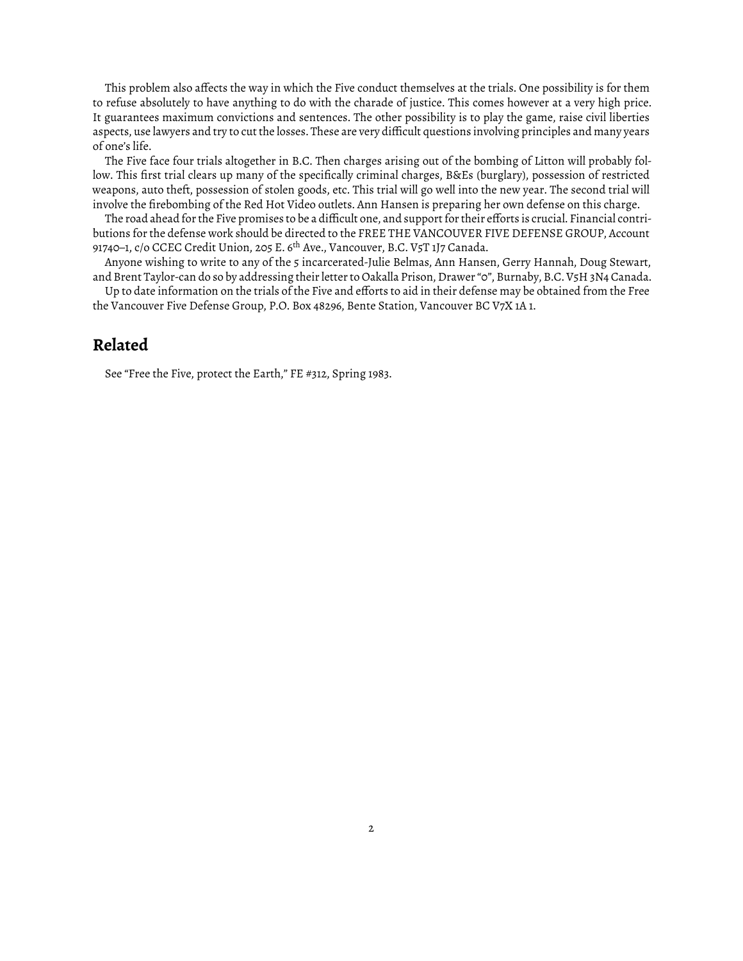This problem also affects the way in which the Five conduct themselves at the trials. One possibility is for them to refuse absolutely to have anything to do with the charade of justice. This comes however at a very high price. It guarantees maximum convictions and sentences. The other possibility is to play the game, raise civil liberties aspects, use lawyers and try to cut the losses. These are very difficult questions involving principles and many years of one's life.

The Five face four trials altogether in B.C. Then charges arising out of the bombing of Litton will probably follow. This first trial clears up many of the specifically criminal charges, B&Es (burglary), possession of restricted weapons, auto theft, possession of stolen goods, etc. This trial will go well into the new year. The second trial will involve the firebombing of the Red Hot Video outlets. Ann Hansen is preparing her own defense on this charge.

The road ahead for the Five promises to be a difficult one, and support for their efforts is crucial. Financial contributions for the defense work should be directed to the FREE THE VANCOUVER FIVE DEFENSE GROUP, Account 91740–1, c/o CCEC Credit Union, 205 E. 6<sup>th</sup> Ave., Vancouver, B.C. V5T 1J7 Canada.

Anyone wishing to write to any of the 5 incarcerated-Julie Belmas, Ann Hansen, Gerry Hannah, Doug Stewart, and Brent Taylor-can do so by addressing their letter to Oakalla Prison, Drawer "0", Burnaby, B.C. V5H 3N4 Canada.

Up to date information on the trials of the Five and efforts to aid in their defense may be obtained from the Free the Vancouver Five Defense Group, P.O. Box 48296, Bente Station, Vancouver BC V7X 1A 1.

## **Related**

See "Free the Five, protect the Earth," [FE #312, Spring 1983.](https://www.fifthestate.org/archive/312-spring-1983/free-the-five-protect-the-earth/)